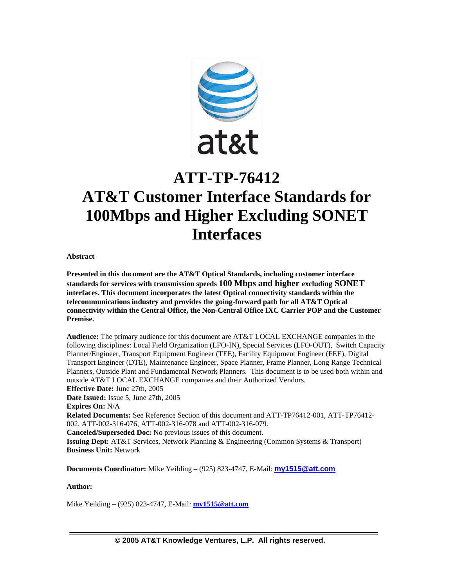

# **ATT-TP-76412 AT&T Customer Interface Standards for 100Mbps and Higher Excluding SONET Interfaces**

**Abstract** 

**Presented in this document are the AT&T Optical Standards, including customer interface standards for services with transmission speeds 100 Mbps and higher excluding SONET interfaces. This document incorporates the latest Optical connectivity standards within the telecommunications industry and provides the going-forward path for all AT&T Optical connectivity within the Central Office, the Non-Central Office IXC Carrier POP and the Customer Premise.** 

**Audience:** The primary audience for this document are AT&T LOCAL EXCHANGE companies in the following disciplines: Local Field Organization (LFO-IN), Special Services (LFO-OUT), Switch Capacity Planner/Engineer, Transport Equipment Engineer (TEE), Facility Equipment Engineer (FEE), Digital Transport Engineer (DTE), Maintenance Engineer, Space Planner, Frame Planner, Long Range Technical Planners, Outside Plant and Fundamental Network Planners. This document is to be used both within and outside AT&T LOCAL EXCHANGE companies and their Authorized Vendors. **Effective Date:** June 27th, 2005 **Date Issued:** Issue 5, June 27th, 2005 **Expires On:** N/A **Related Documents:** See Reference Section of this document and ATT-TP76412-001, ATT-TP76412-002, ATT-002-316-076, ATT-002-316-078 and ATT-002-316-079. **Canceled/Superseded Doc:** No previous issues of this document. **Issuing Dept:** AT&T Services, Network Planning & Engineering (Common Systems & Transport) **Business Unit:** Network

**Documents Coordinator:** Mike Yeilding – (925) 823-4747, E-Mail: **my1515@att.com** 

**Author:** 

Mike Yeilding – (925) 823-4747, E-Mail: **my1515@att.com**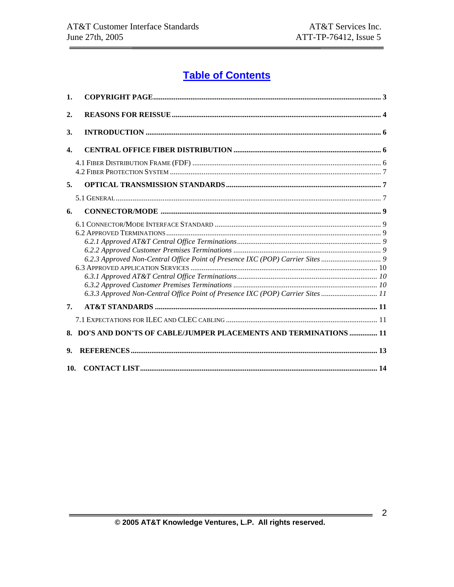## **Table of Contents**

| 1.           |                                                                                                                                                                |  |
|--------------|----------------------------------------------------------------------------------------------------------------------------------------------------------------|--|
| 2.           |                                                                                                                                                                |  |
| 3.           |                                                                                                                                                                |  |
| $\mathbf{4}$ |                                                                                                                                                                |  |
|              |                                                                                                                                                                |  |
| 5.           |                                                                                                                                                                |  |
|              |                                                                                                                                                                |  |
| 6.           |                                                                                                                                                                |  |
|              | 6.2.3 Approved Non-Central Office Point of Presence IXC (POP) Carrier Sites<br>6.3.3 Approved Non-Central Office Point of Presence IXC (POP) Carrier Sites  11 |  |
| 7.           |                                                                                                                                                                |  |
|              |                                                                                                                                                                |  |
|              | 8. DO'S AND DON'TS OF CABLE/JUMPER PLACEMENTS AND TERMINATIONS  11                                                                                             |  |
| 9.           |                                                                                                                                                                |  |
| 10.          |                                                                                                                                                                |  |

 $=$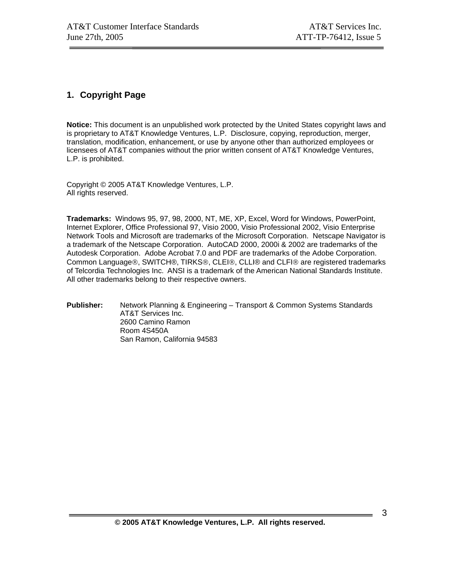## **1. Copyright Page**

**Notice:** This document is an unpublished work protected by the United States copyright laws and is proprietary to AT&T Knowledge Ventures, L.P. Disclosure, copying, reproduction, merger, translation, modification, enhancement, or use by anyone other than authorized employees or licensees of AT&T companies without the prior written consent of AT&T Knowledge Ventures, L.P. is prohibited.

Copyright © 2005 AT&T Knowledge Ventures, L.P. All rights reserved.

**Trademarks:** Windows 95, 97, 98, 2000, NT, ME, XP, Excel, Word for Windows, PowerPoint, Internet Explorer, Office Professional 97, Visio 2000, Visio Professional 2002, Visio Enterprise Network Tools and Microsoft are trademarks of the Microsoft Corporation. Netscape Navigator is a trademark of the Netscape Corporation. AutoCAD 2000, 2000i & 2002 are trademarks of the Autodesk Corporation. Adobe Acrobat 7.0 and PDF are trademarks of the Adobe Corporation. Common Language®, SWITCH®, TIRKS®, CLEI®, CLLI® and CLFI® are registered trademarks of Telcordia Technologies Inc. ANSI is a trademark of the American National Standards Institute. All other trademarks belong to their respective owners.

**Publisher:** Network Planning & Engineering – Transport & Common Systems Standards AT&T Services Inc. 2600 Camino Ramon Room 4S450A San Ramon, California 94583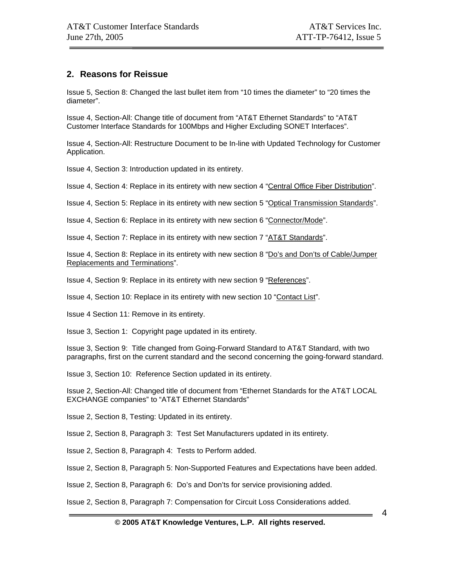## **2. Reasons for Reissue**

Issue 5, Section 8: Changed the last bullet item from "10 times the diameter" to "20 times the diameter".

Issue 4, Section-All: Change title of document from "AT&T Ethernet Standards" to "AT&T Customer Interface Standards for 100Mbps and Higher Excluding SONET Interfaces".

Issue 4, Section-All: Restructure Document to be In-line with Updated Technology for Customer Application.

Issue 4, Section 3: Introduction updated in its entirety.

Issue 4, Section 4: Replace in its entirety with new section 4 "Central Office Fiber Distribution".

Issue 4, Section 5: Replace in its entirety with new section 5 "Optical Transmission Standards".

Issue 4, Section 6: Replace in its entirety with new section 6 "Connector/Mode".

Issue 4, Section 7: Replace in its entirety with new section 7 "AT&T Standards".

Issue 4, Section 8: Replace in its entirety with new section 8 "Do's and Don'ts of Cable/Jumper Replacements and Terminations".

Issue 4, Section 9: Replace in its entirety with new section 9 "References".

Issue 4, Section 10: Replace in its entirety with new section 10 "Contact List".

Issue 4 Section 11: Remove in its entirety.

Issue 3, Section 1: Copyright page updated in its entirety.

Issue 3, Section 9: Title changed from Going-Forward Standard to AT&T Standard, with two paragraphs, first on the current standard and the second concerning the going-forward standard.

Issue 3, Section 10: Reference Section updated in its entirety.

Issue 2, Section-All: Changed title of document from "Ethernet Standards for the AT&T LOCAL EXCHANGE companies" to "AT&T Ethernet Standards"

Issue 2, Section 8, Testing: Updated in its entirety.

Issue 2, Section 8, Paragraph 3: Test Set Manufacturers updated in its entirety.

Issue 2, Section 8, Paragraph 4: Tests to Perform added.

Issue 2, Section 8, Paragraph 5: Non-Supported Features and Expectations have been added.

Issue 2, Section 8, Paragraph 6: Do's and Don'ts for service provisioning added.

Issue 2, Section 8, Paragraph 7: Compensation for Circuit Loss Considerations added.

#### **© 2005 AT&T Knowledge Ventures, L.P. All rights reserved.**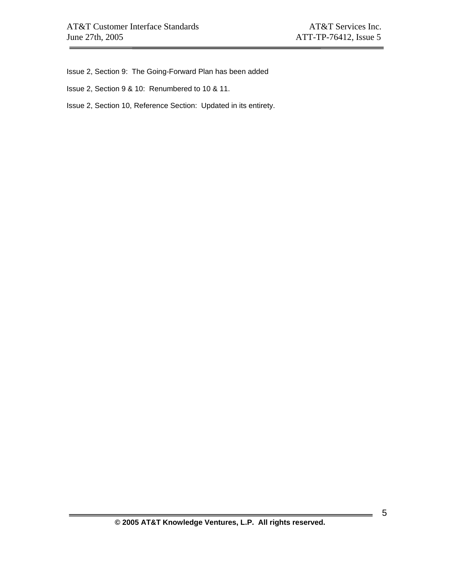Issue 2, Section 9: The Going-Forward Plan has been added

Issue 2, Section 9 & 10: Renumbered to 10 & 11.

Issue 2, Section 10, Reference Section: Updated in its entirety.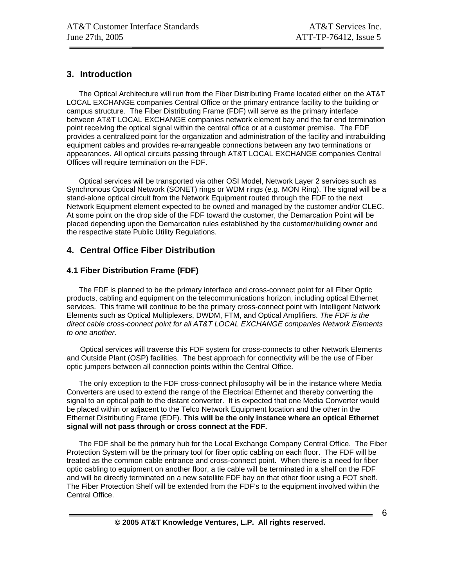## **3. Introduction**

 The Optical Architecture will run from the Fiber Distributing Frame located either on the AT&T LOCAL EXCHANGE companies Central Office or the primary entrance facility to the building or campus structure. The Fiber Distributing Frame (FDF) will serve as the primary interface between AT&T LOCAL EXCHANGE companies network element bay and the far end termination point receiving the optical signal within the central office or at a customer premise. The FDF provides a centralized point for the organization and administration of the facility and intrabuilding equipment cables and provides re-arrangeable connections between any two terminations or appearances. All optical circuits passing through AT&T LOCAL EXCHANGE companies Central Offices will require termination on the FDF.

 Optical services will be transported via other OSI Model, Network Layer 2 services such as Synchronous Optical Network (SONET) rings or WDM rings (e.g. MON Ring). The signal will be a stand-alone optical circuit from the Network Equipment routed through the FDF to the next Network Equipment element expected to be owned and managed by the customer and/or CLEC. At some point on the drop side of the FDF toward the customer, the Demarcation Point will be placed depending upon the Demarcation rules established by the customer/building owner and the respective state Public Utility Regulations.

## **4. Central Office Fiber Distribution**

## **4.1 Fiber Distribution Frame (FDF)**

 The FDF is planned to be the primary interface and cross-connect point for all Fiber Optic products, cabling and equipment on the telecommunications horizon, including optical Ethernet services. This frame will continue to be the primary cross-connect point with Intelligent Network Elements such as Optical Multiplexers, DWDM, FTM, and Optical Amplifiers. *The FDF is the direct cable cross-connect point for all AT&T LOCAL EXCHANGE companies Network Elements to one another.*

Optical services will traverse this FDF system for cross-connects to other Network Elements and Outside Plant (OSP) facilities. The best approach for connectivity will be the use of Fiber optic jumpers between all connection points within the Central Office.

 The only exception to the FDF cross-connect philosophy will be in the instance where Media Converters are used to extend the range of the Electrical Ethernet and thereby converting the signal to an optical path to the distant converter. It is expected that one Media Converter would be placed within or adjacent to the Telco Network Equipment location and the other in the Ethernet Distributing Frame (EDF). **This will be the only instance where an optical Ethernet signal will not pass through or cross connect at the FDF.**

 The FDF shall be the primary hub for the Local Exchange Company Central Office. The Fiber Protection System will be the primary tool for fiber optic cabling on each floor. The FDF will be treated as the common cable entrance and cross-connect point. When there is a need for fiber optic cabling to equipment on another floor, a tie cable will be terminated in a shelf on the FDF and will be directly terminated on a new satellite FDF bay on that other floor using a FOT shelf. The Fiber Protection Shelf will be extended from the FDF's to the equipment involved within the Central Office.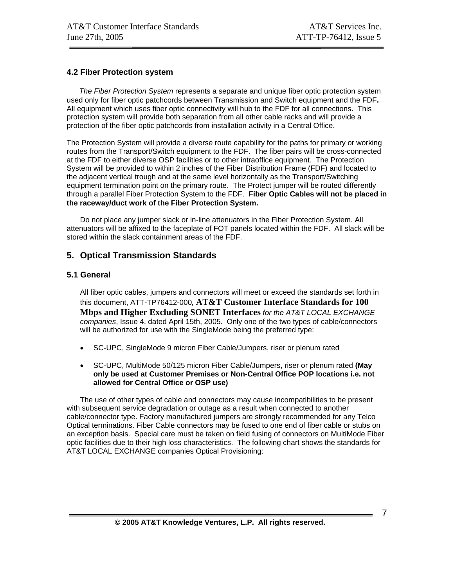## **4.2 Fiber Protection system**

 *The Fiber Protection System* represents a separate and unique fiber optic protection system used only for fiber optic patchcords between Transmission and Switch equipment and the FDF**.**  All equipment which uses fiber optic connectivity will hub to the FDF for all connections. This protection system will provide both separation from all other cable racks and will provide a protection of the fiber optic patchcords from installation activity in a Central Office.

The Protection System will provide a diverse route capability for the paths for primary or working routes from the Transport/Switch equipment to the FDF. The fiber pairs will be cross-connected at the FDF to either diverse OSP facilities or to other intraoffice equipment. The Protection System will be provided to within 2 inches of the Fiber Distribution Frame (FDF) and located to the adjacent vertical trough and at the same level horizontally as the Transport/Switching equipment termination point on the primary route. The Protect jumper will be routed differently through a parallel Fiber Protection System to the FDF. **Fiber Optic Cables will not be placed in the raceway/duct work of the Fiber Protection System.**

Do not place any jumper slack or in-line attenuators in the Fiber Protection System. All attenuators will be affixed to the faceplate of FOT panels located within the FDF. All slack will be stored within the slack containment areas of the FDF.

## **5. Optical Transmission Standards**

## **5.1 General**

All fiber optic cables, jumpers and connectors will meet or exceed the standards set forth in this document, ATT-TP76412-000*,* **AT&T Customer Interface Standards for 100 Mbps and Higher Excluding SONET Interfaces** *for the AT&T LOCAL EXCHANGE companies*, Issue 4, dated April 15th, 2005. Only one of the two types of cable/connectors will be authorized for use with the SingleMode being the preferred type:

- SC-UPC, SingleMode 9 micron Fiber Cable/Jumpers, riser or plenum rated
- SC-UPC, MultiMode 50/125 micron Fiber Cable/Jumpers, riser or plenum rated **(May only be used at Customer Premises or Non-Central Office POP locations i.e. not allowed for Central Office or OSP use)**

The use of other types of cable and connectors may cause incompatibilities to be present with subsequent service degradation or outage as a result when connected to another cable/connector type. Factory manufactured jumpers are strongly recommended for any Telco Optical terminations. Fiber Cable connectors may be fused to one end of fiber cable or stubs on an exception basis. Special care must be taken on field fusing of connectors on MultiMode Fiber optic facilities due to their high loss characteristics. The following chart shows the standards for AT&T LOCAL EXCHANGE companies Optical Provisioning: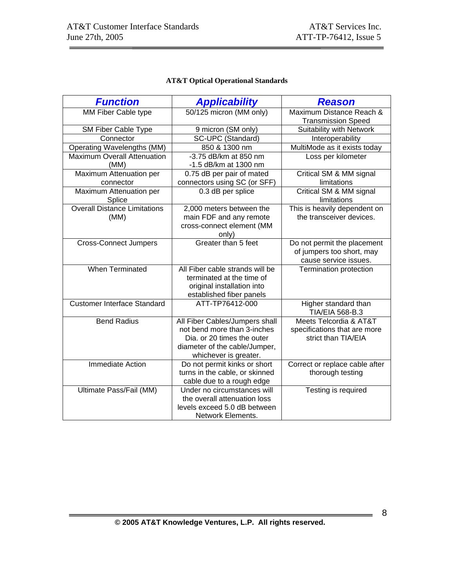## **AT&T Optical Operational Standards**

| <b>Function</b>                     | <b>Applicability</b>            | <b>Reason</b>                                         |  |
|-------------------------------------|---------------------------------|-------------------------------------------------------|--|
| MM Fiber Cable type                 | 50/125 micron (MM only)         | Maximum Distance Reach &<br><b>Transmission Speed</b> |  |
| SM Fiber Cable Type                 | 9 micron (SM only)              | Suitability with Network                              |  |
| Connector                           | SC-UPC (Standard)               | Interoperability                                      |  |
| Operating Wavelengths (MM)          | 850 & 1300 nm                   | MultiMode as it exists today                          |  |
| <b>Maximum Overall Attenuation</b>  | -3.75 dB/km at 850 nm           | Loss per kilometer                                    |  |
| (MM)                                | -1.5 dB/km at 1300 nm           |                                                       |  |
| Maximum Attenuation per             | 0.75 dB per pair of mated       | Critical SM & MM signal                               |  |
| connector                           | connectors using SC (or SFF)    | limitations                                           |  |
| Maximum Attenuation per<br>Splice   | 0.3 dB per splice               | Critical SM & MM signal<br>limitations                |  |
| <b>Overall Distance Limitations</b> | 2,000 meters between the        | This is heavily dependent on                          |  |
| (MM)                                | main FDF and any remote         | the transceiver devices.                              |  |
|                                     | cross-connect element (MM       |                                                       |  |
|                                     | only)                           |                                                       |  |
| <b>Cross-Connect Jumpers</b>        | Greater than 5 feet             | Do not permit the placement                           |  |
|                                     |                                 | of jumpers too short, may                             |  |
|                                     |                                 | cause service issues.                                 |  |
| When Terminated                     | All Fiber cable strands will be | Termination protection                                |  |
|                                     | terminated at the time of       |                                                       |  |
|                                     | original installation into      |                                                       |  |
|                                     | established fiber panels        |                                                       |  |
| <b>Customer Interface Standard</b>  | ATT-TP76412-000                 | Higher standard than<br>TIA/EIA 568-B.3               |  |
| <b>Bend Radius</b>                  | All Fiber Cables/Jumpers shall  | Meets Telcordia & AT&T                                |  |
|                                     | not bend more than 3-inches     | specifications that are more                          |  |
|                                     | Dia. or 20 times the outer      | strict than TIA/EIA                                   |  |
|                                     | diameter of the cable/Jumper,   |                                                       |  |
|                                     | whichever is greater.           |                                                       |  |
| <b>Immediate Action</b>             | Do not permit kinks or short    | Correct or replace cable after                        |  |
|                                     | turns in the cable, or skinned  | thorough testing                                      |  |
|                                     | cable due to a rough edge       |                                                       |  |
| Ultimate Pass/Fail (MM)             | Under no circumstances will     | Testing is required                                   |  |
|                                     | the overall attenuation loss    |                                                       |  |
|                                     | levels exceed 5.0 dB between    |                                                       |  |
|                                     | Network Elements.               |                                                       |  |

 $\overline{\phantom{a}}$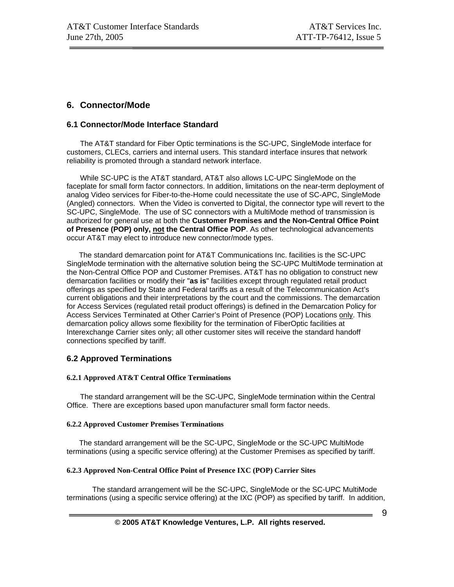## **6. Connector/Mode**

#### **6.1 Connector/Mode Interface Standard**

The AT&T standard for Fiber Optic terminations is the SC-UPC, SingleMode interface for customers, CLECs, carriers and internal users. This standard interface insures that network reliability is promoted through a standard network interface.

While SC-UPC is the AT&T standard, AT&T also allows LC-UPC SingleMode on the faceplate for small form factor connectors. In addition, limitations on the near-term deployment of analog Video services for Fiber-to-the-Home could necessitate the use of SC-APC, SingleMode (Angled) connectors. When the Video is converted to Digital, the connector type will revert to the SC-UPC, SingleMode. The use of SC connectors with a MultiMode method of transmission is authorized for general use at both the **Customer Premises and the Non-Central Office Point of Presence (POP) only, not the Central Office POP**. As other technological advancements occur AT&T may elect to introduce new connector/mode types.

 The standard demarcation point for AT&T Communications Inc. facilities is the SC-UPC SingleMode termination with the alternative solution being the SC-UPC MultiMode termination at the Non-Central Office POP and Customer Premises. AT&T has no obligation to construct new demarcation facilities or modify their "**as is**" facilities except through regulated retail product offerings as specified by State and Federal tariffs as a result of the Telecommunication Act's current obligations and their interpretations by the court and the commissions. The demarcation for Access Services (regulated retail product offerings) is defined in the Demarcation Policy for Access Services Terminated at Other Carrier's Point of Presence (POP) Locations only. This demarcation policy allows some flexibility for the termination of FiberOptic facilities at Interexchange Carrier sites only; all other customer sites will receive the standard handoff connections specified by tariff.

## **6.2 Approved Terminations**

#### **6.2.1 Approved AT&T Central Office Terminations**

The standard arrangement will be the SC-UPC, SingleMode termination within the Central Office. There are exceptions based upon manufacturer small form factor needs.

#### **6.2.2 Approved Customer Premises Terminations**

 The standard arrangement will be the SC-UPC, SingleMode or the SC-UPC MultiMode terminations (using a specific service offering) at the Customer Premises as specified by tariff.

#### **6.2.3 Approved Non-Central Office Point of Presence IXC (POP) Carrier Sites**

 The standard arrangement will be the SC-UPC, SingleMode or the SC-UPC MultiMode terminations (using a specific service offering) at the IXC (POP) as specified by tariff. In addition,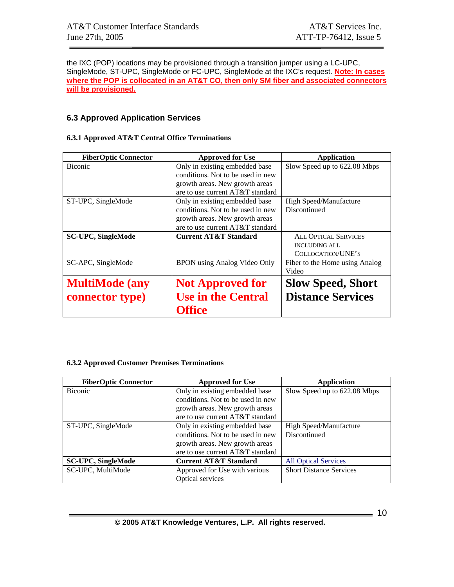the IXC (POP) locations may be provisioned through a transition jumper using a LC-UPC, SingleMode, ST-UPC, SingleMode or FC-UPC, SingleMode at the IXC's request. **Note: In cases where the POP is collocated in an AT&T CO, then only SM fiber and associated connectors will be provisioned.**

## **6.3 Approved Application Services**

#### **6.3.1 Approved AT&T Central Office Terminations**

| <b>FiberOptic Connector</b> | <b>Approved for Use</b>           | <b>Application</b>             |
|-----------------------------|-----------------------------------|--------------------------------|
| <b>Biconic</b>              | Only in existing embedded base    | Slow Speed up to 622.08 Mbps   |
|                             | conditions. Not to be used in new |                                |
|                             | growth areas. New growth areas    |                                |
|                             | are to use current AT&T standard  |                                |
| ST-UPC, SingleMode          | Only in existing embedded base    | High Speed/Manufacture         |
|                             | conditions. Not to be used in new | Discontinued                   |
|                             | growth areas. New growth areas    |                                |
|                             | are to use current AT&T standard  |                                |
| <b>SC-UPC, SingleMode</b>   | <b>Current AT&amp;T Standard</b>  | <b>ALL OPTICAL SERVICES</b>    |
|                             |                                   | <b>INCLUDING ALL</b>           |
|                             |                                   | COLLOCATION/UNE'S              |
| SC-APC, SingleMode          | BPON using Analog Video Only      | Fiber to the Home using Analog |
|                             |                                   | Video                          |
| <b>MultiMode</b> (any       | <b>Not Approved for</b>           | <b>Slow Speed, Short</b>       |
| connector type)             | <b>Use in the Central</b>         | <b>Distance Services</b>       |
|                             | Office                            |                                |

#### **6.3.2 Approved Customer Premises Terminations**

| <b>FiberOptic Connector</b> | <b>Approved for Use</b>           | <b>Application</b>             |
|-----------------------------|-----------------------------------|--------------------------------|
| <b>Biconic</b>              | Only in existing embedded base    | Slow Speed up to 622.08 Mbps   |
|                             | conditions. Not to be used in new |                                |
|                             | growth areas. New growth areas    |                                |
|                             | are to use current AT&T standard  |                                |
| ST-UPC, SingleMode          | Only in existing embedded base    | High Speed/Manufacture         |
|                             | conditions. Not to be used in new | Discontinued                   |
|                             | growth areas. New growth areas    |                                |
|                             | are to use current AT&T standard  |                                |
| <b>SC-UPC, SingleMode</b>   | <b>Current AT&amp;T Standard</b>  | <b>All Optical Services</b>    |
| SC-UPC, MultiMode           | Approved for Use with various     | <b>Short Distance Services</b> |
|                             | <b>Optical services</b>           |                                |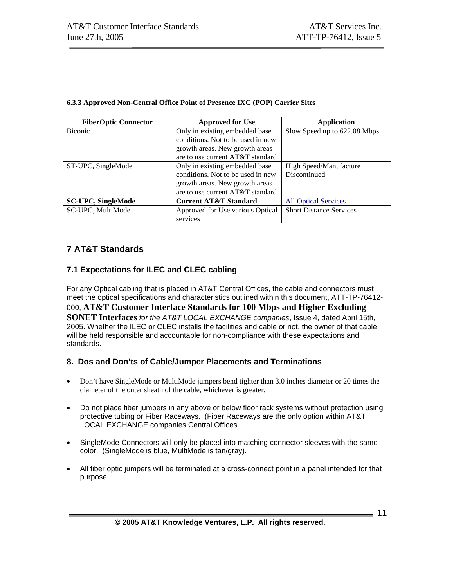| <b>FiberOptic Connector</b> | <b>Approved for Use</b>           | <b>Application</b>             |
|-----------------------------|-----------------------------------|--------------------------------|
| <b>Biconic</b>              | Only in existing embedded base    | Slow Speed up to 622.08 Mbps   |
|                             | conditions. Not to be used in new |                                |
|                             | growth areas. New growth areas    |                                |
|                             | are to use current AT&T standard  |                                |
| ST-UPC, SingleMode          | Only in existing embedded base    | High Speed/Manufacture         |
|                             | conditions. Not to be used in new | Discontinued                   |
|                             | growth areas. New growth areas    |                                |
|                             | are to use current AT&T standard  |                                |
| <b>SC-UPC, SingleMode</b>   | <b>Current AT&amp;T Standard</b>  | <b>All Optical Services</b>    |
| SC-UPC, MultiMode           | Approved for Use various Optical  | <b>Short Distance Services</b> |
|                             | services                          |                                |

#### **6.3.3 Approved Non-Central Office Point of Presence IXC (POP) Carrier Sites**

## **7 AT&T Standards**

## **7.1 Expectations for ILEC and CLEC cabling**

For any Optical cabling that is placed in AT&T Central Offices, the cable and connectors must meet the optical specifications and characteristics outlined within this document, ATT-TP-76412- 000, **AT&T Customer Interface Standards for 100 Mbps and Higher Excluding SONET Interfaces** *for the AT&T LOCAL EXCHANGE companies*, Issue 4, dated April 15th, 2005. Whether the ILEC or CLEC installs the facilities and cable or not, the owner of that cable will be held responsible and accountable for non-compliance with these expectations and standards.

## **8. Dos and Don'ts of Cable/Jumper Placements and Terminations**

- Don't have SingleMode or MultiMode jumpers bend tighter than 3.0 inches diameter or 20 times the diameter of the outer sheath of the cable, whichever is greater.
- Do not place fiber jumpers in any above or below floor rack systems without protection using protective tubing or Fiber Raceways. (Fiber Raceways are the only option within AT&T LOCAL EXCHANGE companies Central Offices.
- SingleMode Connectors will only be placed into matching connector sleeves with the same color. (SingleMode is blue, MultiMode is tan/gray).
- All fiber optic jumpers will be terminated at a cross-connect point in a panel intended for that purpose.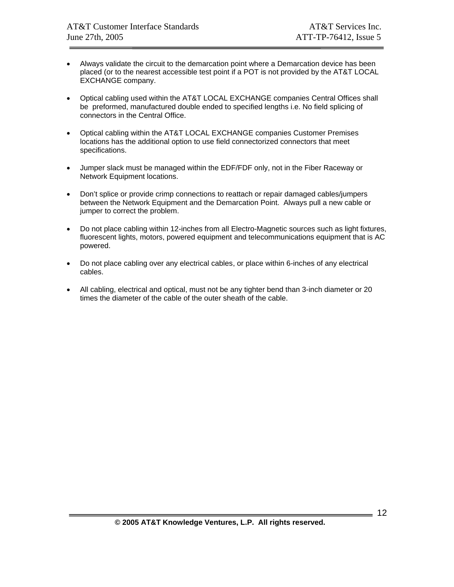- Always validate the circuit to the demarcation point where a Demarcation device has been placed (or to the nearest accessible test point if a POT is not provided by the AT&T LOCAL EXCHANGE company.
- Optical cabling used within the AT&T LOCAL EXCHANGE companies Central Offices shall be preformed, manufactured double ended to specified lengths i.e. No field splicing of connectors in the Central Office.
- Optical cabling within the AT&T LOCAL EXCHANGE companies Customer Premises locations has the additional option to use field connectorized connectors that meet specifications.
- Jumper slack must be managed within the EDF/FDF only, not in the Fiber Raceway or Network Equipment locations.
- Don't splice or provide crimp connections to reattach or repair damaged cables/jumpers between the Network Equipment and the Demarcation Point. Always pull a new cable or jumper to correct the problem.
- Do not place cabling within 12-inches from all Electro-Magnetic sources such as light fixtures, fluorescent lights, motors, powered equipment and telecommunications equipment that is AC powered.
- Do not place cabling over any electrical cables, or place within 6-inches of any electrical cables.
- All cabling, electrical and optical, must not be any tighter bend than 3-inch diameter or 20 times the diameter of the cable of the outer sheath of the cable.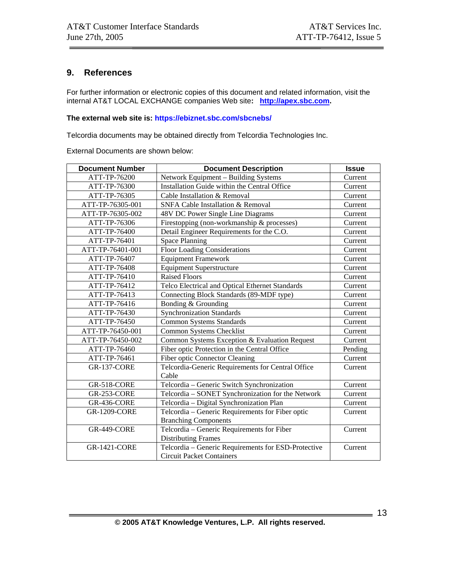## **9. References**

For further information or electronic copies of this document and related information, visit the internal AT&T LOCAL EXCHANGE companies Web site**: http://apex.sbc.com.** 

#### **The external web site is: https://ebiznet.sbc.com/sbcnebs/**

Telcordia documents may be obtained directly from Telcordia Technologies Inc.

External Documents are shown below:

| <b>Document Number</b> | <b>Document Description</b>                         | <b>Issue</b> |
|------------------------|-----------------------------------------------------|--------------|
| ATT-TP-76200           | Network Equipment - Building Systems                | Current      |
| ATT-TP-76300           | Installation Guide within the Central Office        | Current      |
| ATT-TP-76305           | Cable Installation & Removal                        | Current      |
| ATT-TP-76305-001       | SNFA Cable Installation & Removal                   | Current      |
| ATT-TP-76305-002       | 48V DC Power Single Line Diagrams                   | Current      |
| ATT-TP-76306           | Firestopping (non-workmanship & processes)          | Current      |
| ATT-TP-76400           | Detail Engineer Requirements for the C.O.           | Current      |
| ATT-TP-76401           | <b>Space Planning</b>                               | Current      |
| ATT-TP-76401-001       | <b>Floor Loading Considerations</b>                 | Current      |
| ATT-TP-76407           | <b>Equipment Framework</b>                          | Current      |
| ATT-TP-76408           | <b>Equipment Superstructure</b>                     | Current      |
| ATT-TP-76410           | <b>Raised Floors</b>                                | Current      |
| ATT-TP-76412           | Telco Electrical and Optical Ethernet Standards     | Current      |
| ATT-TP-76413           | Connecting Block Standards (89-MDF type)            | Current      |
| ATT-TP-76416           | Bonding & Grounding                                 | Current      |
| ATT-TP-76430           | <b>Synchronization Standards</b>                    | Current      |
| ATT-TP-76450           | <b>Common Systems Standards</b>                     | Current      |
| ATT-TP-76450-001       | Common Systems Checklist                            | Current      |
| ATT-TP-76450-002       | Common Systems Exception & Evaluation Request       | Current      |
| ATT-TP-76460           | Fiber optic Protection in the Central Office        | Pending      |
| ATT-TP-76461           | Fiber optic Connector Cleaning                      | Current      |
| <b>GR-137-CORE</b>     | Telcordia-Generic Requirements for Central Office   | Current      |
|                        | Cable                                               |              |
| GR-518-CORE            | Telcordia - Generic Switch Synchronization          | Current      |
| GR-253-CORE            | Telcordia - SONET Synchronization for the Network   | Current      |
| <b>GR-436-CORE</b>     | Telcordia - Digital Synchronization Plan            | Current      |
| <b>GR-1209-CORE</b>    | Telcordia - Generic Requirements for Fiber optic    | Current      |
|                        | <b>Branching Components</b>                         |              |
| <b>GR-449-CORE</b>     | Telcordia - Generic Requirements for Fiber          | Current      |
|                        | <b>Distributing Frames</b>                          |              |
| <b>GR-1421-CORE</b>    | Telcordia - Generic Requirements for ESD-Protective | Current      |
|                        | <b>Circuit Packet Containers</b>                    |              |